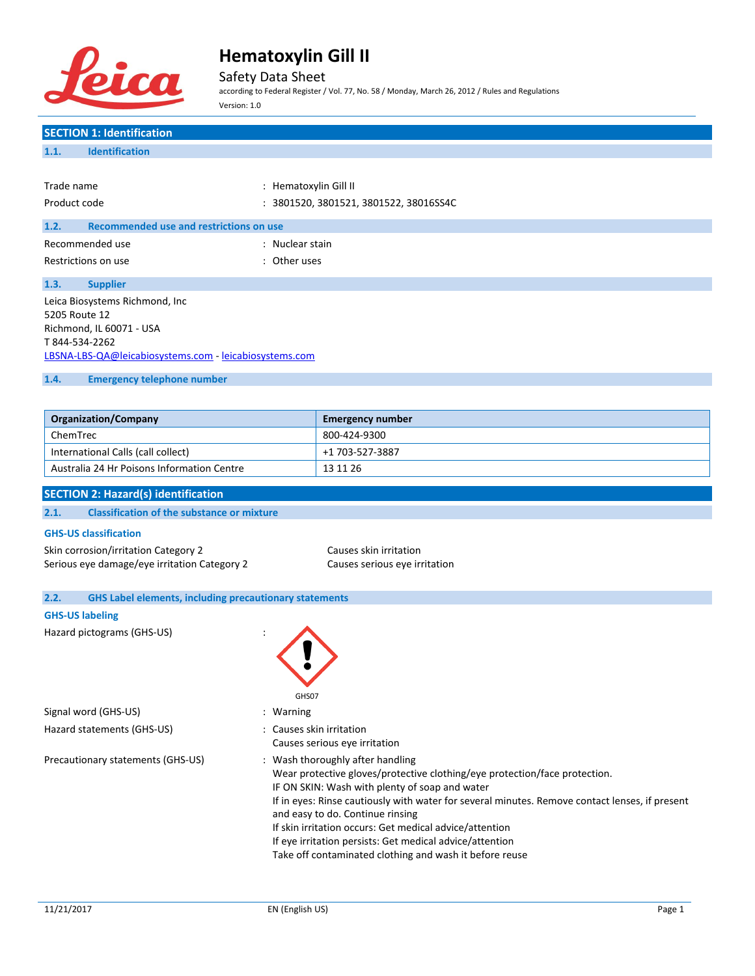

Safety Data Sheet

according to Federal Register / Vol. 77, No. 58 / Monday, March 26, 2012 / Rules and Regulations Version: 1.0

# **SECTION 1: Identification 1.1. Identification** Trade name  $\qquad \qquad :$  Hematoxylin Gill II Product code : 3801520, 3801521, 3801522, 38016SS4C **1.2. Recommended use and restrictions on use** Recommended use in the set of the state of the Recommended use Restrictions on use the set of the set of the set of the set of the set of the set of the set of the set of the set of the set of the set of the set of the set of the set of the set of the set of the set of the set of the **1.3. Supplier** Leica Biosystems Richmond, Inc 5205 Route 12 Richmond, IL 60071 - USA T 844-534-2262 [LBSNA-LBS-QA@leicabiosystems.com](mailto:LBSNA-LBS-QA@leicabiosystems.com) - <leicabiosystems.com> **1.4. Emergency telephone number**

| <b>Organization/Company</b>                | <b>Emergency number</b> |
|--------------------------------------------|-------------------------|
| ChemTrec                                   | 800-424-9300            |
| International Calls (call collect)         | +1 703-527-3887         |
| Australia 24 Hr Poisons Information Centre | 13 11 26                |

### **SECTION 2: Hazard(s) identification**

#### **2.1. Classification of the substance or mixture**

### **GHS-US classification**

Skin corrosion/irritation Category 2 Causes skin irritation Serious eye damage/eye irritation Category 2 Causes serious eye irritation

| <b>GHS Label elements, including precautionary statements</b><br>2.2. |                                                                                                                                                                                                                                                                                                                                                                                                                                                                                          |
|-----------------------------------------------------------------------|------------------------------------------------------------------------------------------------------------------------------------------------------------------------------------------------------------------------------------------------------------------------------------------------------------------------------------------------------------------------------------------------------------------------------------------------------------------------------------------|
| <b>GHS-US labeling</b>                                                |                                                                                                                                                                                                                                                                                                                                                                                                                                                                                          |
| Hazard pictograms (GHS-US)                                            | GHS07                                                                                                                                                                                                                                                                                                                                                                                                                                                                                    |
| Signal word (GHS-US)                                                  | : Warning                                                                                                                                                                                                                                                                                                                                                                                                                                                                                |
| Hazard statements (GHS-US)                                            | : Causes skin irritation<br>Causes serious eye irritation                                                                                                                                                                                                                                                                                                                                                                                                                                |
| Precautionary statements (GHS-US)                                     | : Wash thoroughly after handling<br>Wear protective gloves/protective clothing/eye protection/face protection.<br>IF ON SKIN: Wash with plenty of soap and water<br>If in eyes: Rinse cautiously with water for several minutes. Remove contact lenses, if present<br>and easy to do. Continue rinsing<br>If skin irritation occurs: Get medical advice/attention<br>If eye irritation persists: Get medical advice/attention<br>Take off contaminated clothing and wash it before reuse |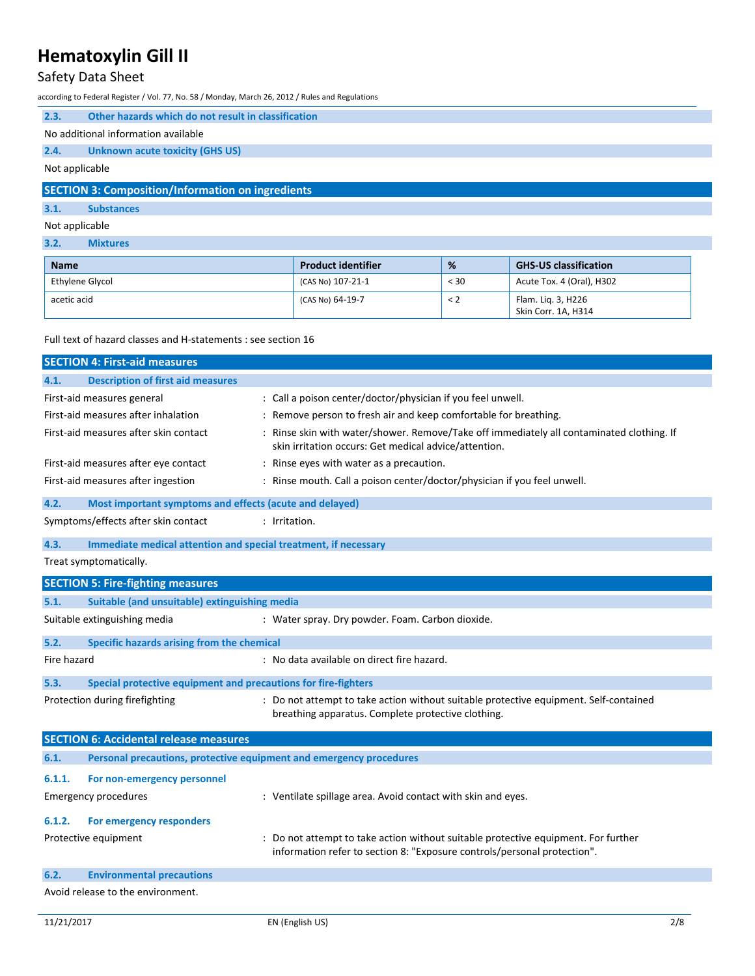## Safety Data Sheet

according to Federal Register / Vol. 77, No. 58 / Monday, March 26, 2012 / Rules and Regulations

| 2.3.                                                     | Other hazards which do not result in classification |  |  |  |  |  |  |
|----------------------------------------------------------|-----------------------------------------------------|--|--|--|--|--|--|
|                                                          | No additional information available                 |  |  |  |  |  |  |
| 2.4.                                                     | <b>Unknown acute toxicity (GHS US)</b>              |  |  |  |  |  |  |
| Not applicable                                           |                                                     |  |  |  |  |  |  |
| <b>SECTION 3: Composition/Information on ingredients</b> |                                                     |  |  |  |  |  |  |
| 3.1.                                                     | <b>Substances</b>                                   |  |  |  |  |  |  |

Not applicable

### **3.2. Mixtures**

| <b>Name</b>     | <b>Product identifier</b> | %        | <b>GHS-US classification</b>              |
|-----------------|---------------------------|----------|-------------------------------------------|
| Ethylene Glycol | $(CAS No)$ 107-21-1       | < 30     | Acute Tox. 4 (Oral), H302                 |
| acetic acid     | (CAS No) 64-19-7          | $\leq$ 2 | Flam. Lig. 3, H226<br>Skin Corr. 1A, H314 |

Full text of hazard classes and H-statements : see section 16

|             | <b>SECTION 4: First-aid measures</b>                                |                                                                                                                                                                |
|-------------|---------------------------------------------------------------------|----------------------------------------------------------------------------------------------------------------------------------------------------------------|
| 4.1.        | <b>Description of first aid measures</b>                            |                                                                                                                                                                |
|             | First-aid measures general                                          | : Call a poison center/doctor/physician if you feel unwell.                                                                                                    |
|             | First-aid measures after inhalation                                 | : Remove person to fresh air and keep comfortable for breathing.                                                                                               |
|             | First-aid measures after skin contact                               | : Rinse skin with water/shower. Remove/Take off immediately all contaminated clothing. If<br>skin irritation occurs: Get medical advice/attention.             |
|             | First-aid measures after eye contact                                | : Rinse eyes with water as a precaution.                                                                                                                       |
|             | First-aid measures after ingestion                                  | : Rinse mouth. Call a poison center/doctor/physician if you feel unwell.                                                                                       |
| 4.2.        | Most important symptoms and effects (acute and delayed)             |                                                                                                                                                                |
|             | Symptoms/effects after skin contact                                 | : Irritation.                                                                                                                                                  |
| 4.3.        | Immediate medical attention and special treatment, if necessary     |                                                                                                                                                                |
|             | Treat symptomatically.                                              |                                                                                                                                                                |
|             | <b>SECTION 5: Fire-fighting measures</b>                            |                                                                                                                                                                |
| 5.1.        | Suitable (and unsuitable) extinguishing media                       |                                                                                                                                                                |
|             | Suitable extinguishing media                                        | : Water spray. Dry powder. Foam. Carbon dioxide.                                                                                                               |
| 5.2.        | Specific hazards arising from the chemical                          |                                                                                                                                                                |
| Fire hazard |                                                                     | : No data available on direct fire hazard.                                                                                                                     |
| 5.3.        | Special protective equipment and precautions for fire-fighters      |                                                                                                                                                                |
|             | Protection during firefighting                                      | : Do not attempt to take action without suitable protective equipment. Self-contained<br>breathing apparatus. Complete protective clothing.                    |
|             | <b>SECTION 6: Accidental release measures</b>                       |                                                                                                                                                                |
| 6.1.        | Personal precautions, protective equipment and emergency procedures |                                                                                                                                                                |
| 6.1.1.      | For non-emergency personnel                                         |                                                                                                                                                                |
|             | <b>Emergency procedures</b>                                         | : Ventilate spillage area. Avoid contact with skin and eyes.                                                                                                   |
| 6.1.2.      | For emergency responders                                            |                                                                                                                                                                |
|             | Protective equipment                                                | : Do not attempt to take action without suitable protective equipment. For further<br>information refer to section 8: "Exposure controls/personal protection". |
| 6.2.        | <b>Environmental precautions</b>                                    |                                                                                                                                                                |
|             | Avoid release to the environment.                                   |                                                                                                                                                                |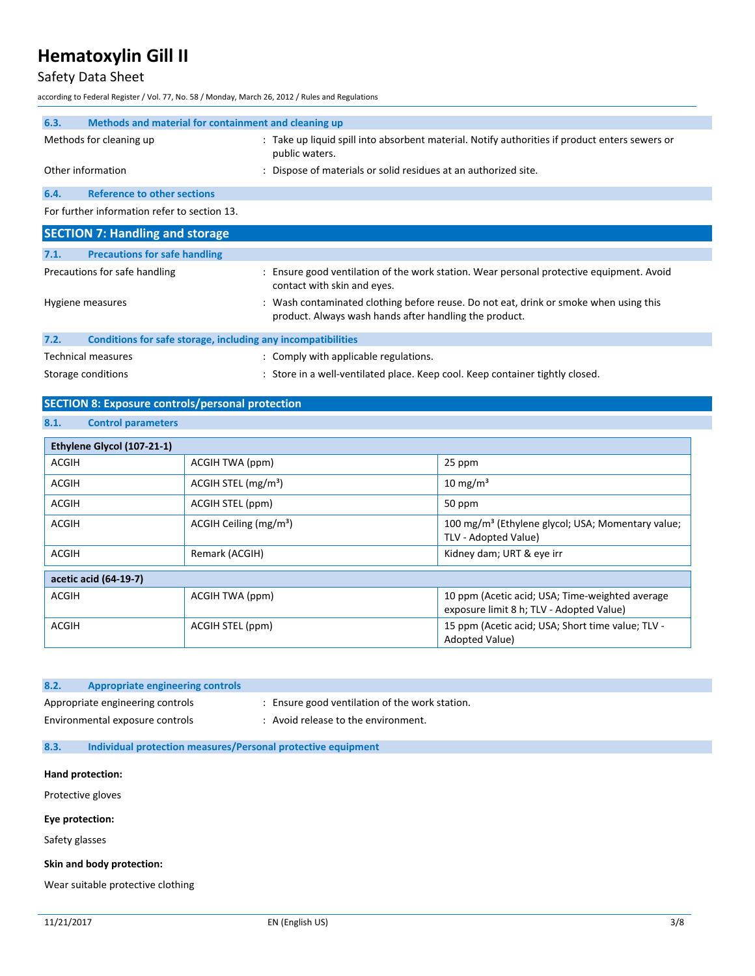## Safety Data Sheet

according to Federal Register / Vol. 77, No. 58 / Monday, March 26, 2012 / Rules and Regulations

| 6.3.                          | Methods and material for containment and cleaning up |                                                                                                                                      |  |  |  |  |  |  |
|-------------------------------|------------------------------------------------------|--------------------------------------------------------------------------------------------------------------------------------------|--|--|--|--|--|--|
| Methods for cleaning up       |                                                      | : Take up liquid spill into absorbent material. Notify authorities if product enters sewers or<br>public waters.                     |  |  |  |  |  |  |
|                               | Other information                                    | : Dispose of materials or solid residues at an authorized site.                                                                      |  |  |  |  |  |  |
| 6.4.                          | <b>Reference to other sections</b>                   |                                                                                                                                      |  |  |  |  |  |  |
|                               | For further information refer to section 13.         |                                                                                                                                      |  |  |  |  |  |  |
|                               | <b>SECTION 7: Handling and storage</b>               |                                                                                                                                      |  |  |  |  |  |  |
| 7.1.                          | <b>Precautions for safe handling</b>                 |                                                                                                                                      |  |  |  |  |  |  |
| Precautions for safe handling |                                                      | : Ensure good ventilation of the work station. Wear personal protective equipment. Avoid<br>المحارم المحام حائرام والجارين للمصاحبين |  |  |  |  |  |  |

|      | Hygiene measures                                             | contact with skin and eyes.<br>: Wash contaminated clothing before reuse. Do not eat, drink or smoke when using this<br>product. Always wash hands after handling the product. |  |  |  |  |  |  |  |  |  |  |
|------|--------------------------------------------------------------|--------------------------------------------------------------------------------------------------------------------------------------------------------------------------------|--|--|--|--|--|--|--|--|--|--|
| 7.2. | Conditions for safe storage, including any incompatibilities |                                                                                                                                                                                |  |  |  |  |  |  |  |  |  |  |
|      |                                                              |                                                                                                                                                                                |  |  |  |  |  |  |  |  |  |  |

Technical measures **in the contract of the Comply with applicable regulations.** Storage conditions : Store in a well-ventilated place. Keep cool. Keep container tightly closed.

## **SECTION 8: Exposure controls/personal protection**

## **8.1. Control parameters**

| Ethylene Glycol (107-21-1) |                                   |                                                                                             |
|----------------------------|-----------------------------------|---------------------------------------------------------------------------------------------|
| ACGIH                      | ACGIH TWA (ppm)                   | 25 ppm                                                                                      |
| <b>ACGIH</b>               | $ACGIH$ STEL (mg/m <sup>3</sup> ) | $10 \text{ mg/m}^3$                                                                         |
| <b>ACGIH</b>               | ACGIH STEL (ppm)                  | 50 ppm                                                                                      |
| ACGIH                      | ACGIH Ceiling $(mg/m3)$           | 100 mg/m <sup>3</sup> (Ethylene glycol; USA; Momentary value;<br>TLV - Adopted Value)       |
| <b>ACGIH</b>               | Remark (ACGIH)                    | Kidney dam; URT & eye irr                                                                   |
| acetic acid (64-19-7)      |                                   |                                                                                             |
| <b>ACGIH</b>               | ACGIH TWA (ppm)                   | 10 ppm (Acetic acid; USA; Time-weighted average<br>exposure limit 8 h; TLV - Adopted Value) |
| <b>ACGIH</b>               | ACGIH STEL (ppm)                  | 15 ppm (Acetic acid; USA; Short time value; TLV -<br>Adopted Value)                         |

| 8.2. | Appropriate engineering controls |                                                |
|------|----------------------------------|------------------------------------------------|
|      | Appropriate engineering controls | : Ensure good ventilation of the work station. |
|      | Environmental exposure controls  | Avoid release to the environment.              |

### **8.3. Individual protection measures/Personal protective equipment**

#### **Hand protection:**

Protective gloves

#### **Eye protection:**

Safety glasses

#### **Skin and body protection:**

Wear suitable protective clothing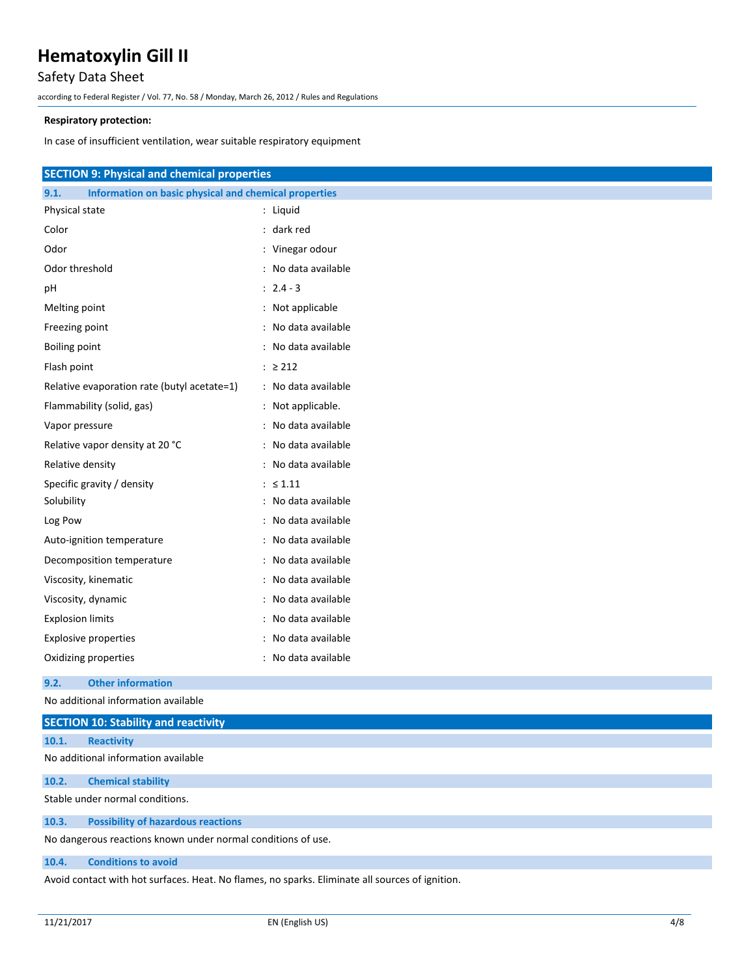## Safety Data Sheet

according to Federal Register / Vol. 77, No. 58 / Monday, March 26, 2012 / Rules and Regulations

#### **Respiratory protection:**

In case of insufficient ventilation, wear suitable respiratory equipment

| <b>SECTION 9: Physical and chemical properties</b>            |                     |
|---------------------------------------------------------------|---------------------|
| 9.1.<br>Information on basic physical and chemical properties |                     |
| Physical state                                                | : Liquid            |
| Color                                                         | : dark red          |
| Odor                                                          | : Vinegar odour     |
| Odor threshold                                                | : No data available |
| рH                                                            | $: 2.4 - 3$         |
| Melting point                                                 | : Not applicable    |
|                                                               | : No data available |
| Freezing point                                                | : No data available |
| Boiling point                                                 |                     |
| Flash point                                                   | $: \ge 212$         |
| Relative evaporation rate (butyl acetate=1)                   | : No data available |
| Flammability (solid, gas)                                     | : Not applicable.   |
| Vapor pressure                                                | : No data available |
| Relative vapor density at 20 °C                               | : No data available |
| Relative density                                              | : No data available |
| Specific gravity / density                                    | : $\leq 1.11$       |
| Solubility                                                    | : No data available |
| Log Pow                                                       | : No data available |
| Auto-ignition temperature                                     | : No data available |
| Decomposition temperature                                     | : No data available |
| Viscosity, kinematic                                          | : No data available |
| Viscosity, dynamic                                            | No data available   |
| <b>Explosion limits</b>                                       | : No data available |
| <b>Explosive properties</b>                                   | No data available   |
| Oxidizing properties                                          | : No data available |

#### **9.2. Other information**

No additional information available

|       | <b>SECTION 10: Stability and reactivity</b>                  |
|-------|--------------------------------------------------------------|
| 10.1. | <b>Reactivity</b>                                            |
|       | No additional information available                          |
| 10.2. | <b>Chemical stability</b>                                    |
|       | Stable under normal conditions.                              |
| 10.3. | <b>Possibility of hazardous reactions</b>                    |
|       | No dangerous reactions known under normal conditions of use. |

#### **10.4. Conditions to avoid**

Avoid contact with hot surfaces. Heat. No flames, no sparks. Eliminate all sources of ignition.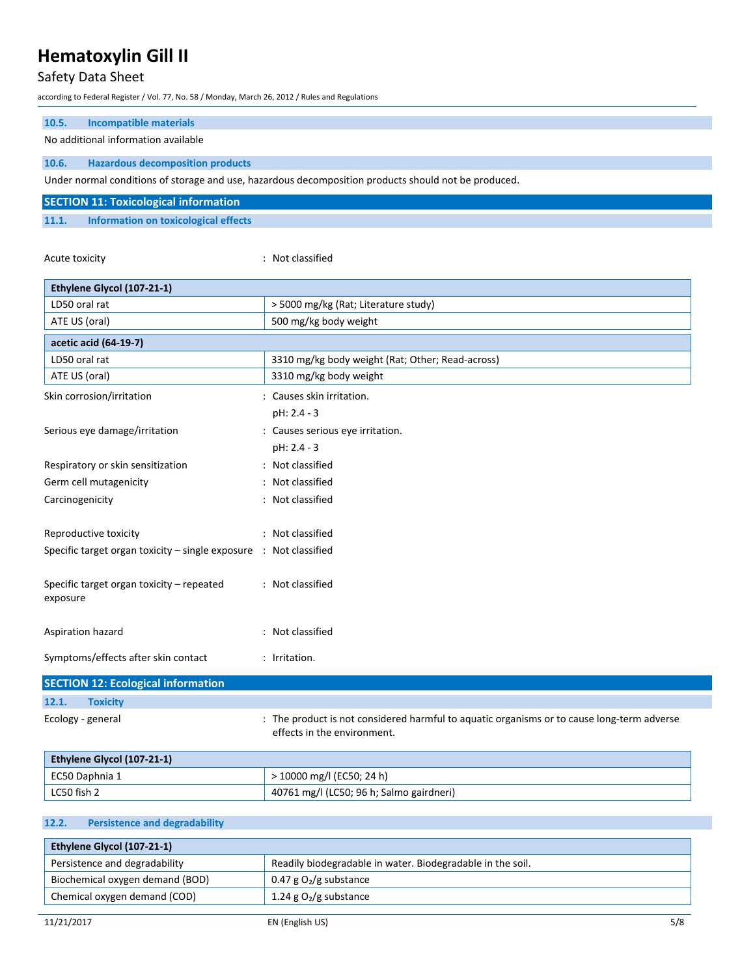## Safety Data Sheet

according to Federal Register / Vol. 77, No. 58 / Monday, March 26, 2012 / Rules and Regulations

| 10.5.<br><b>Incompatible materials</b>                            |                                                                                                                           |
|-------------------------------------------------------------------|---------------------------------------------------------------------------------------------------------------------------|
| No additional information available                               |                                                                                                                           |
| 10.6.<br><b>Hazardous decomposition products</b>                  |                                                                                                                           |
|                                                                   | Under normal conditions of storage and use, hazardous decomposition products should not be produced.                      |
| <b>SECTION 11: Toxicological information</b>                      |                                                                                                                           |
| 11.1.<br>Information on toxicological effects                     |                                                                                                                           |
|                                                                   |                                                                                                                           |
| Acute toxicity                                                    | : Not classified                                                                                                          |
|                                                                   |                                                                                                                           |
| Ethylene Glycol (107-21-1)                                        |                                                                                                                           |
| LD50 oral rat                                                     | > 5000 mg/kg (Rat; Literature study)                                                                                      |
| ATE US (oral)                                                     | 500 mg/kg body weight                                                                                                     |
| acetic acid (64-19-7)                                             |                                                                                                                           |
| LD50 oral rat                                                     | 3310 mg/kg body weight (Rat; Other; Read-across)                                                                          |
| ATE US (oral)                                                     | 3310 mg/kg body weight                                                                                                    |
| Skin corrosion/irritation                                         | : Causes skin irritation.                                                                                                 |
|                                                                   | pH: 2.4 - 3                                                                                                               |
| Serious eye damage/irritation                                     | : Causes serious eye irritation.                                                                                          |
|                                                                   | pH: 2.4 - 3                                                                                                               |
| Respiratory or skin sensitization                                 | : Not classified                                                                                                          |
| Germ cell mutagenicity                                            | : Not classified                                                                                                          |
| Carcinogenicity                                                   | : Not classified                                                                                                          |
|                                                                   |                                                                                                                           |
| Reproductive toxicity                                             | : Not classified                                                                                                          |
| Specific target organ toxicity - single exposure : Not classified |                                                                                                                           |
| Specific target organ toxicity - repeated                         | : Not classified                                                                                                          |
| exposure                                                          |                                                                                                                           |
|                                                                   |                                                                                                                           |
| Aspiration hazard                                                 | : Not classified                                                                                                          |
|                                                                   |                                                                                                                           |
| Symptoms/effects after skin contact                               | : Irritation.                                                                                                             |
| <b>SECTION 12: Ecological information</b>                         |                                                                                                                           |
| 12.1.<br><b>Toxicity</b>                                          |                                                                                                                           |
| Ecology - general                                                 | : The product is not considered harmful to aquatic organisms or to cause long-term adverse<br>effects in the environment. |

| Ethylene Glycol (107-21-1) |                                          |  |
|----------------------------|------------------------------------------|--|
| ' EC50 Daphnia 1           | > 10000 mg/l (EC50; 24 h)                |  |
| LC50 fish 2                | 40761 mg/l (LC50; 96 h; Salmo gairdneri) |  |

## **12.2. Persistence and degradability**

| Ethylene Glycol (107-21-1)      |                                                            |  |
|---------------------------------|------------------------------------------------------------|--|
| Persistence and degradability   | Readily biodegradable in water. Biodegradable in the soil. |  |
| Biochemical oxygen demand (BOD) | 0.47 g $O_2$ /g substance                                  |  |
| Chemical oxygen demand (COD)    | 1.24 g $O_2$ /g substance                                  |  |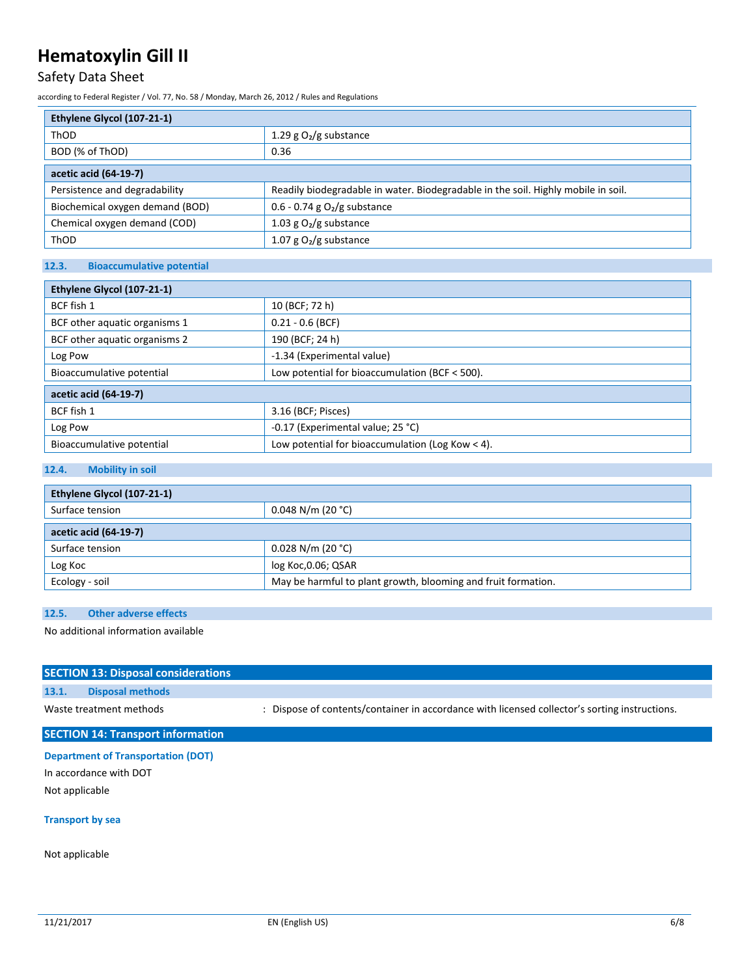## Safety Data Sheet

according to Federal Register / Vol. 77, No. 58 / Monday, March 26, 2012 / Rules and Regulations

| Ethylene Glycol (107-21-1)      |                                                                                   |  |
|---------------------------------|-----------------------------------------------------------------------------------|--|
| ThOD                            | 1.29 g $O_2/g$ substance                                                          |  |
| BOD (% of ThOD)                 | 0.36                                                                              |  |
| acetic acid (64-19-7)           |                                                                                   |  |
| Persistence and degradability   | Readily biodegradable in water. Biodegradable in the soil. Highly mobile in soil. |  |
| Biochemical oxygen demand (BOD) | 0.6 - 0.74 g $O_2/g$ substance                                                    |  |
| Chemical oxygen demand (COD)    | 1.03 g $O2/g$ substance                                                           |  |
| ThOD                            | 1.07 g $O_2/g$ substance                                                          |  |

## **12.3. Bioaccumulative potential**

| Ethylene Glycol (107-21-1)    |                                                    |  |
|-------------------------------|----------------------------------------------------|--|
| BCF fish 1                    | 10 (BCF; 72 h)                                     |  |
| BCF other aquatic organisms 1 | $0.21 - 0.6$ (BCF)                                 |  |
| BCF other aquatic organisms 2 | 190 (BCF; 24 h)                                    |  |
| Log Pow                       | -1.34 (Experimental value)                         |  |
| Bioaccumulative potential     | Low potential for bioaccumulation (BCF < 500).     |  |
| acetic acid (64-19-7)         |                                                    |  |
| BCF fish 1                    | 3.16 (BCF; Pisces)                                 |  |
| Log Pow                       | -0.17 (Experimental value; 25 °C)                  |  |
| Bioaccumulative potential     | Low potential for bioaccumulation (Log Kow $<$ 4). |  |

## **12.4. Mobility in soil**

| Ethylene Glycol (107-21-1) |                                                               |  |
|----------------------------|---------------------------------------------------------------|--|
| Surface tension            | $0.048$ N/m (20 °C)                                           |  |
| acetic acid (64-19-7)      |                                                               |  |
| Surface tension            | $0.028$ N/m (20 °C)                                           |  |
| Log Koc                    | log Koc, 0.06; QSAR                                           |  |
| Ecology - soil             | May be harmful to plant growth, blooming and fruit formation. |  |

## **12.5. Other adverse effects**

No additional information available

|       | <b>SECTION 13: Disposal considerations</b> |                                                                                               |
|-------|--------------------------------------------|-----------------------------------------------------------------------------------------------|
| 13.1. | <b>Disposal methods</b>                    |                                                                                               |
|       | Waste treatment methods                    | : Dispose of contents/container in accordance with licensed collector's sorting instructions. |
|       | <b>SECTION 14: Transport information</b>   |                                                                                               |

## **Department of Transportation (DOT)**

In accordance with DOT Not applicable

### **Transport by sea**

Not applicable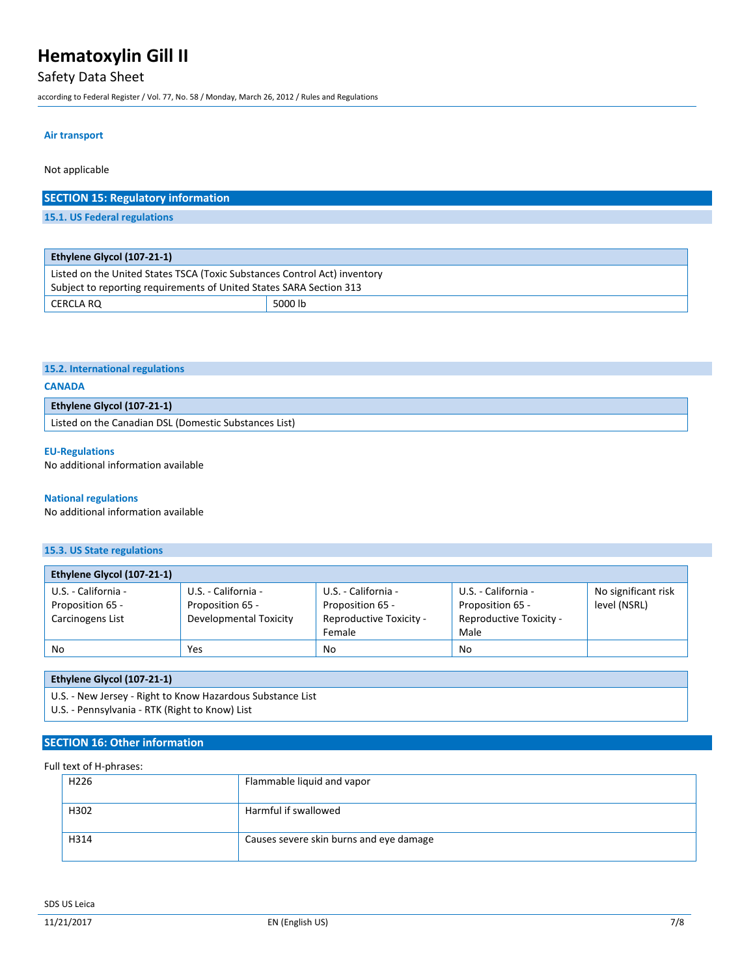## Safety Data Sheet

according to Federal Register / Vol. 77, No. 58 / Monday, March 26, 2012 / Rules and Regulations

CERCLA RQ 5000 lb

#### **Air transport**

Not applicable

| <b>SECTION 15: Regulatory information</b>                                 |  |
|---------------------------------------------------------------------------|--|
| 15.1. US Federal regulations                                              |  |
|                                                                           |  |
|                                                                           |  |
| Ethylene Glycol (107-21-1)                                                |  |
| Listed on the United States TSCA (Toxic Substances Control Act) inventory |  |
| Subject to reporting requirements of United States SARA Section 313       |  |

|  | 15.2. International regulations |  |
|--|---------------------------------|--|
|--|---------------------------------|--|

### **CANADA**

| <b>Ethylene Glycol (107-21-1)</b>                                  |  |
|--------------------------------------------------------------------|--|
| <sup>1</sup> Listed on the Canadian DSL (Domestic Substances List) |  |

#### **EU-Regulations**

No additional information available

#### **National regulations**

No additional information available

## **15.3. US State regulations**

| Ethylene Glycol (107-21-1) |                        |                         |                         |                     |
|----------------------------|------------------------|-------------------------|-------------------------|---------------------|
| U.S. - California -        | U.S. - California -    | U.S. - California -     | U.S. - California -     | No significant risk |
| Proposition 65 -           | Proposition 65 -       | Proposition 65 -        | Proposition 65 -        | level (NSRL)        |
| Carcinogens List           | Developmental Toxicity | Reproductive Toxicity - | Reproductive Toxicity - |                     |
|                            |                        | Female                  | Male                    |                     |
| No                         | Yes                    | <b>No</b>               | <b>No</b>               |                     |

### **Ethylene Glycol (107-21-1)**

U.S. - New Jersey - Right to Know Hazardous Substance List

U.S. - Pennsylvania - RTK (Right to Know) List

### **SECTION 16: Other information**

### Full text of H-phrases:

| H <sub>226</sub> | Flammable liquid and vapor              |
|------------------|-----------------------------------------|
| H302             | Harmful if swallowed                    |
| H314             | Causes severe skin burns and eye damage |